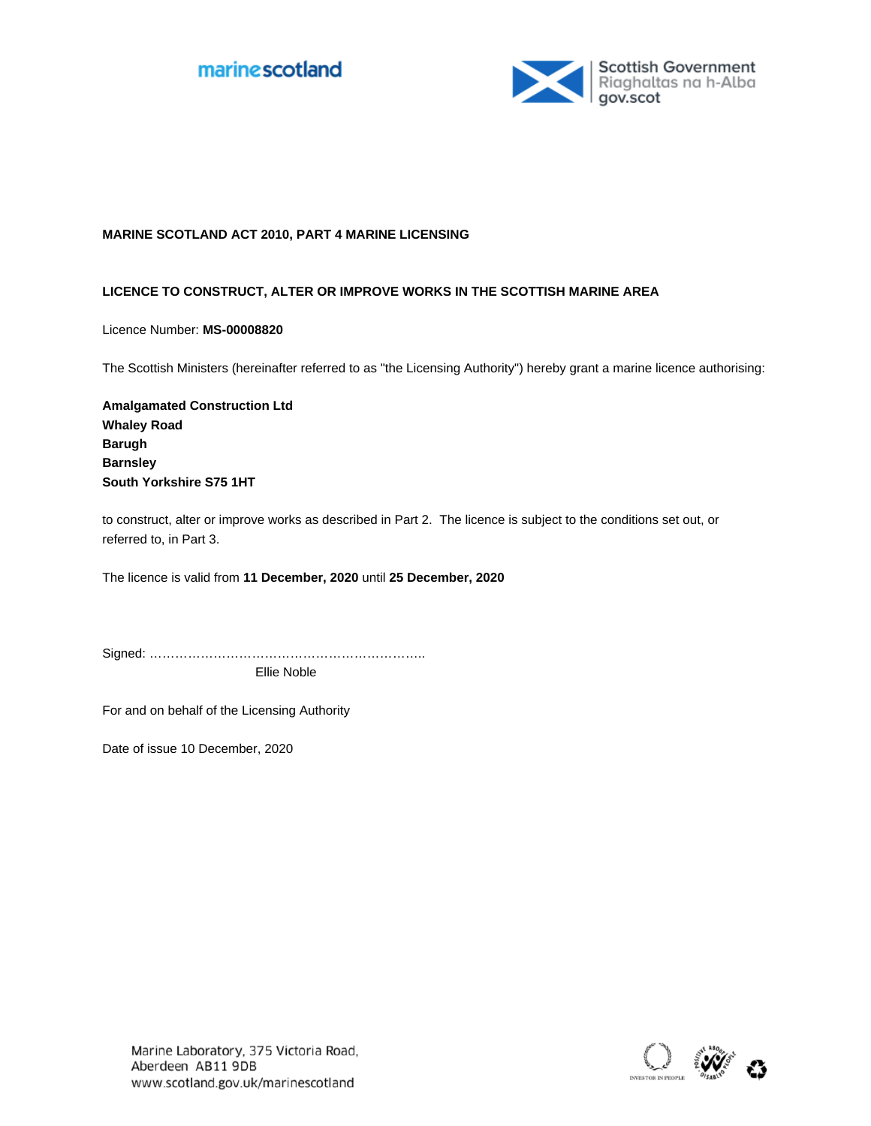



## **MARINE SCOTLAND ACT 2010, PART 4 MARINE LICENSING**

## **LICENCE TO CONSTRUCT, ALTER OR IMPROVE WORKS IN THE SCOTTISH MARINE AREA**

#### Licence Number: **MS-00008820**

The Scottish Ministers (hereinafter referred to as "the Licensing Authority") hereby grant a marine licence authorising:

**Amalgamated Construction Ltd Whaley Road Barugh Barnsley South Yorkshire S75 1HT**

to construct, alter or improve works as described in Part 2. The licence is subject to the conditions set out, or referred to, in Part 3.

The licence is valid from **11 December, 2020** until **25 December, 2020**

Signed: ……………………………………………………….. Ellie Noble

For and on behalf of the Licensing Authority

Date of issue 10 December, 2020

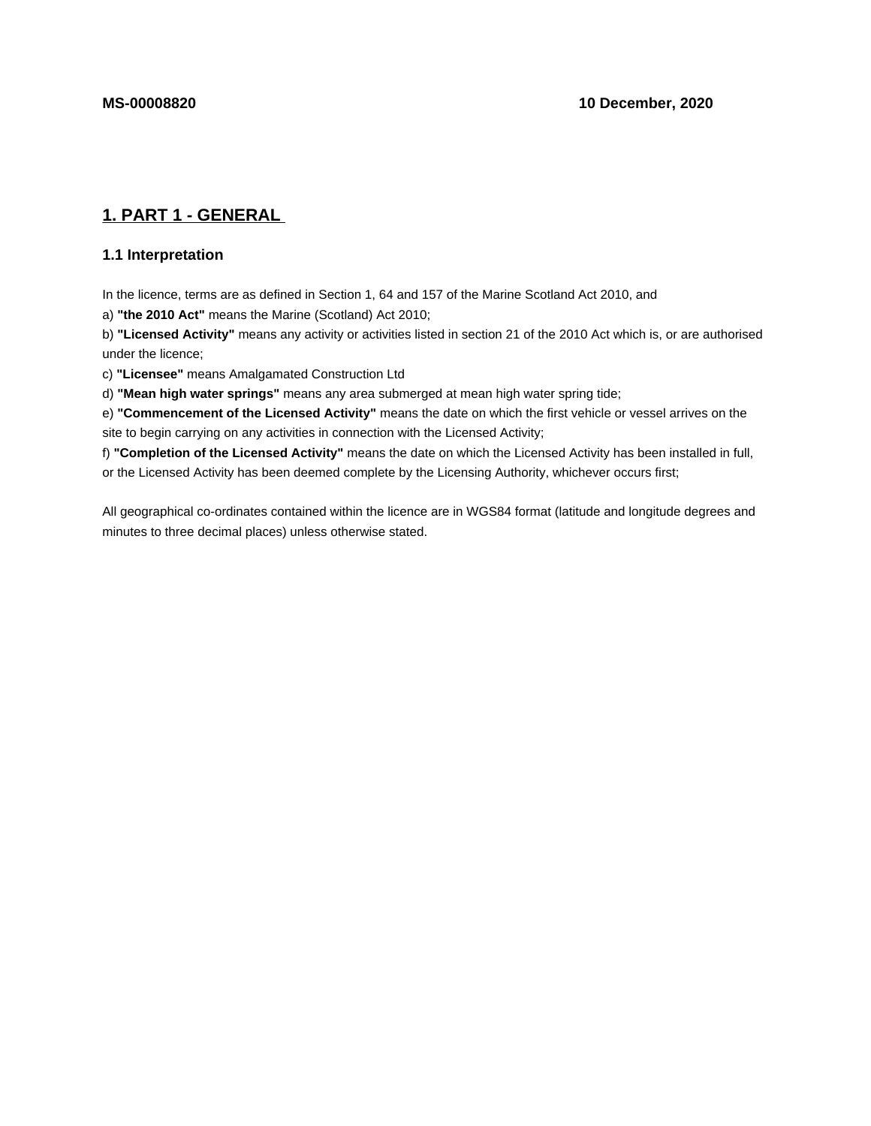# **1. PART 1 - GENERAL**

## **1.1 Interpretation**

In the licence, terms are as defined in Section 1, 64 and 157 of the Marine Scotland Act 2010, and

a) **"the 2010 Act"** means the Marine (Scotland) Act 2010;

b) **"Licensed Activity"** means any activity or activities listed in section 21 of the 2010 Act which is, or are authorised under the licence;

c) **"Licensee"** means Amalgamated Construction Ltd

d) **"Mean high water springs"** means any area submerged at mean high water spring tide;

e) **"Commencement of the Licensed Activity"** means the date on which the first vehicle or vessel arrives on the site to begin carrying on any activities in connection with the Licensed Activity;

f) **"Completion of the Licensed Activity"** means the date on which the Licensed Activity has been installed in full, or the Licensed Activity has been deemed complete by the Licensing Authority, whichever occurs first;

All geographical co-ordinates contained within the licence are in WGS84 format (latitude and longitude degrees and minutes to three decimal places) unless otherwise stated.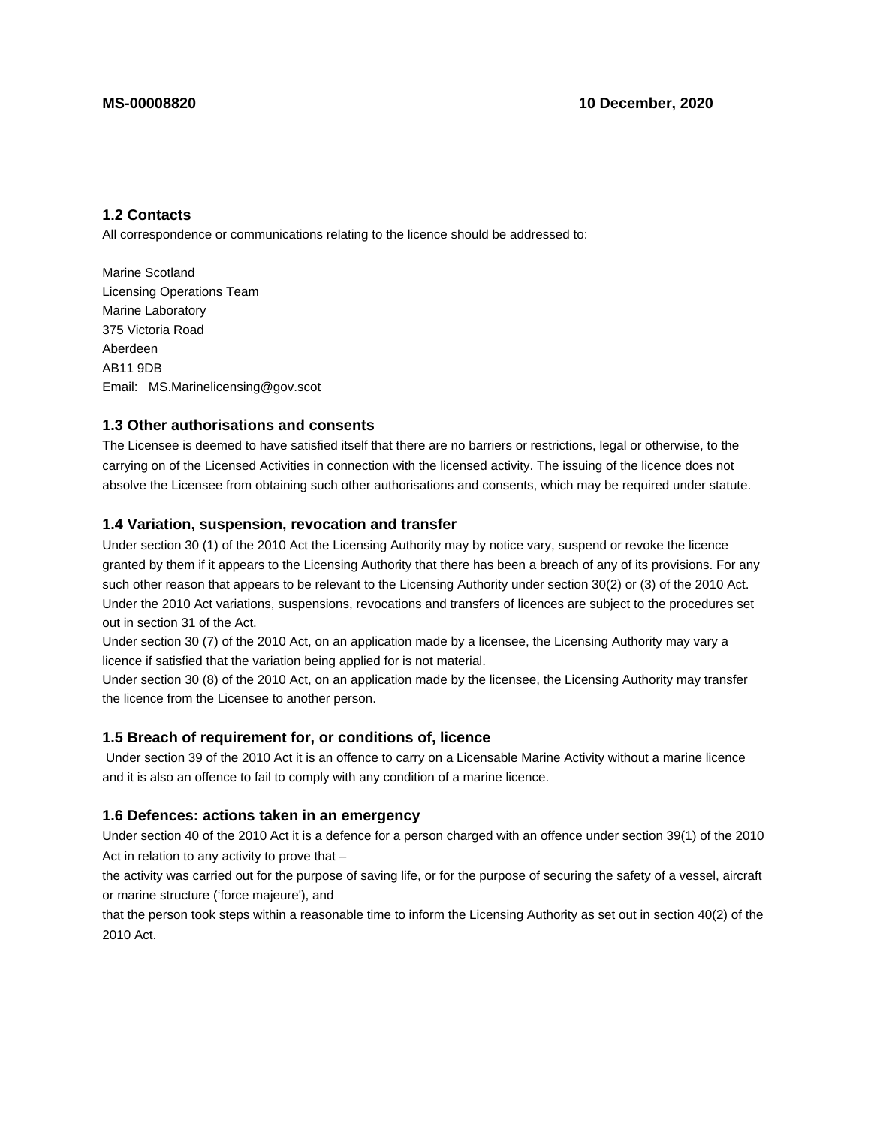## **1.2 Contacts**

All correspondence or communications relating to the licence should be addressed to:

Marine Scotland Licensing Operations Team Marine Laboratory 375 Victoria Road Aberdeen AB11 9DB Email: MS.Marinelicensing@gov.scot

## **1.3 Other authorisations and consents**

The Licensee is deemed to have satisfied itself that there are no barriers or restrictions, legal or otherwise, to the carrying on of the Licensed Activities in connection with the licensed activity. The issuing of the licence does not absolve the Licensee from obtaining such other authorisations and consents, which may be required under statute.

## **1.4 Variation, suspension, revocation and transfer**

Under section 30 (1) of the 2010 Act the Licensing Authority may by notice vary, suspend or revoke the licence granted by them if it appears to the Licensing Authority that there has been a breach of any of its provisions. For any such other reason that appears to be relevant to the Licensing Authority under section 30(2) or (3) of the 2010 Act. Under the 2010 Act variations, suspensions, revocations and transfers of licences are subject to the procedures set out in section 31 of the Act.

Under section 30 (7) of the 2010 Act, on an application made by a licensee, the Licensing Authority may vary a licence if satisfied that the variation being applied for is not material.

Under section 30 (8) of the 2010 Act, on an application made by the licensee, the Licensing Authority may transfer the licence from the Licensee to another person.

## **1.5 Breach of requirement for, or conditions of, licence**

 Under section 39 of the 2010 Act it is an offence to carry on a Licensable Marine Activity without a marine licence and it is also an offence to fail to comply with any condition of a marine licence.

## **1.6 Defences: actions taken in an emergency**

Under section 40 of the 2010 Act it is a defence for a person charged with an offence under section 39(1) of the 2010 Act in relation to any activity to prove that –

the activity was carried out for the purpose of saving life, or for the purpose of securing the safety of a vessel, aircraft or marine structure ('force majeure'), and

that the person took steps within a reasonable time to inform the Licensing Authority as set out in section 40(2) of the 2010 Act.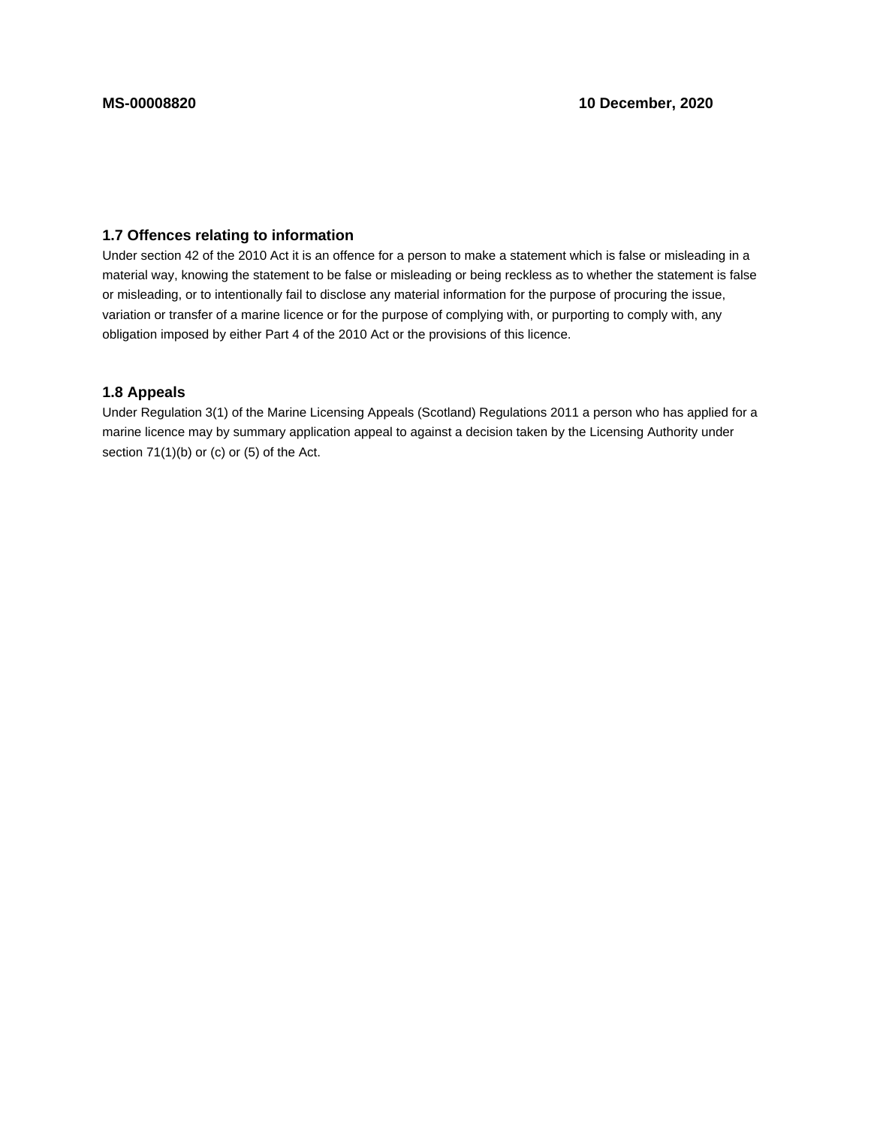# **1.7 Offences relating to information**

Under section 42 of the 2010 Act it is an offence for a person to make a statement which is false or misleading in a material way, knowing the statement to be false or misleading or being reckless as to whether the statement is false or misleading, or to intentionally fail to disclose any material information for the purpose of procuring the issue, variation or transfer of a marine licence or for the purpose of complying with, or purporting to comply with, any obligation imposed by either Part 4 of the 2010 Act or the provisions of this licence.

## **1.8 Appeals**

Under Regulation 3(1) of the Marine Licensing Appeals (Scotland) Regulations 2011 a person who has applied for a marine licence may by summary application appeal to against a decision taken by the Licensing Authority under section 71(1)(b) or (c) or (5) of the Act.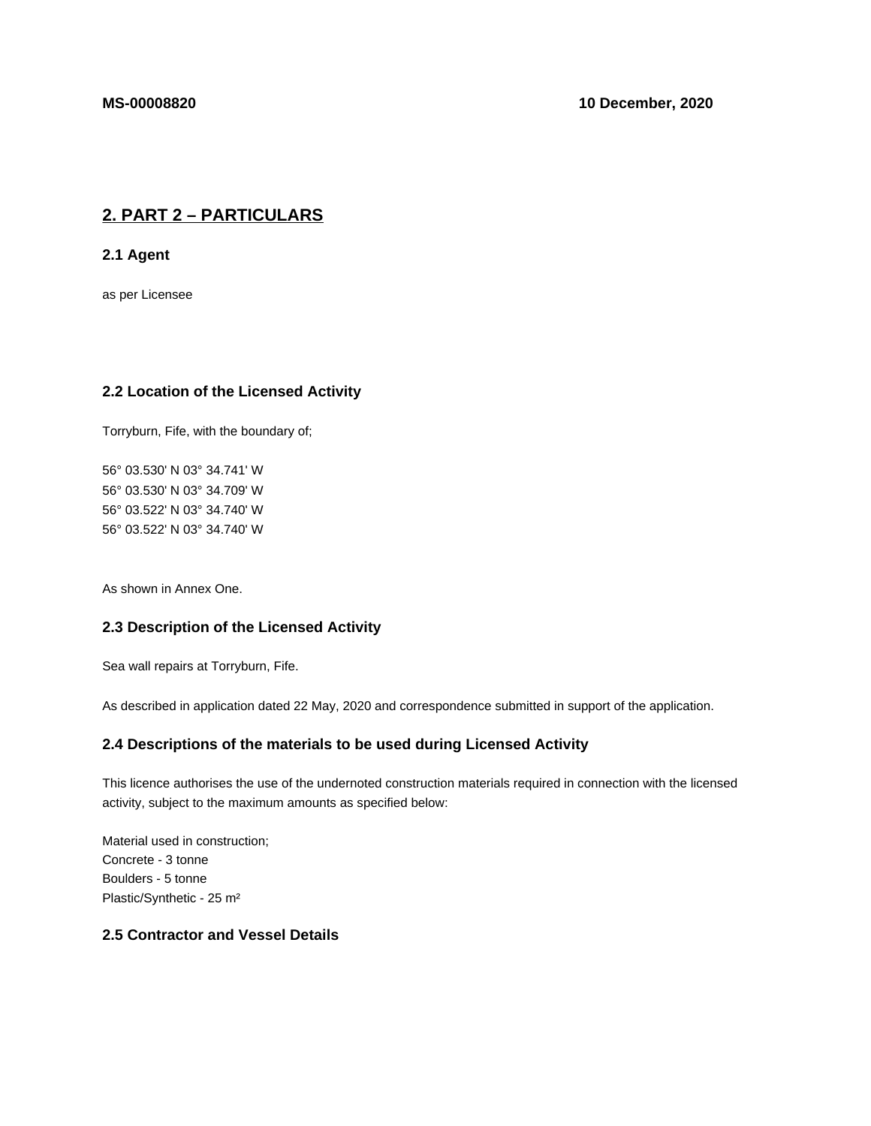# **2. PART 2 – PARTICULARS**

**2.1 Agent**

as per Licensee

# **2.2 Location of the Licensed Activity**

Torryburn, Fife, with the boundary of;

56° 03.530' N 03° 34.741' W 56° 03.530' N 03° 34.709' W 56° 03.522' N 03° 34.740' W 56° 03.522' N 03° 34.740' W

As shown in Annex One.

## **2.3 Description of the Licensed Activity**

Sea wall repairs at Torryburn, Fife.

As described in application dated 22 May, 2020 and correspondence submitted in support of the application.

# **2.4 Descriptions of the materials to be used during Licensed Activity**

This licence authorises the use of the undernoted construction materials required in connection with the licensed activity, subject to the maximum amounts as specified below:

Material used in construction; Concrete - 3 tonne Boulders - 5 tonne Plastic/Synthetic - 25 m²

# **2.5 Contractor and Vessel Details**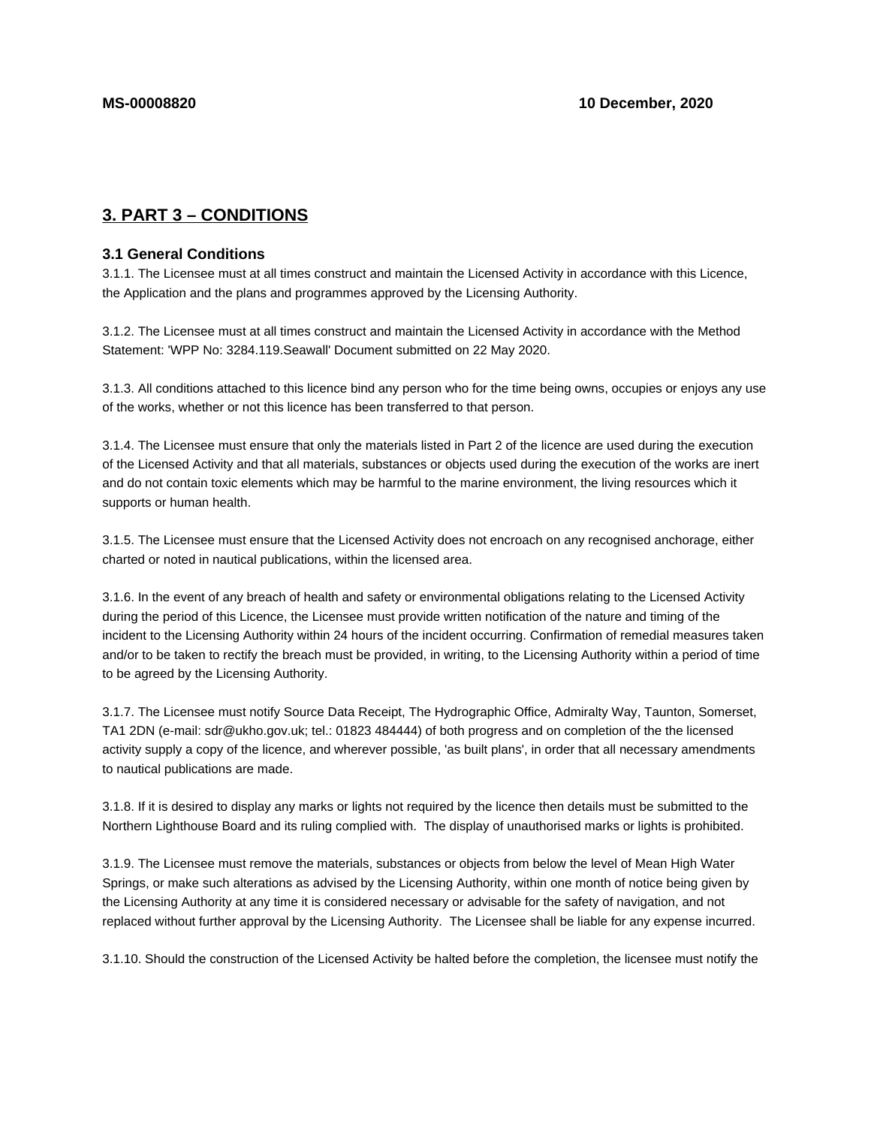# **3. PART 3 – CONDITIONS**

## **3.1 General Conditions**

3.1.1. The Licensee must at all times construct and maintain the Licensed Activity in accordance with this Licence, the Application and the plans and programmes approved by the Licensing Authority.

3.1.2. The Licensee must at all times construct and maintain the Licensed Activity in accordance with the Method Statement: 'WPP No: 3284.119.Seawall' Document submitted on 22 May 2020.

3.1.3. All conditions attached to this licence bind any person who for the time being owns, occupies or enjoys any use of the works, whether or not this licence has been transferred to that person.

3.1.4. The Licensee must ensure that only the materials listed in Part 2 of the licence are used during the execution of the Licensed Activity and that all materials, substances or objects used during the execution of the works are inert and do not contain toxic elements which may be harmful to the marine environment, the living resources which it supports or human health.

3.1.5. The Licensee must ensure that the Licensed Activity does not encroach on any recognised anchorage, either charted or noted in nautical publications, within the licensed area.

3.1.6. In the event of any breach of health and safety or environmental obligations relating to the Licensed Activity during the period of this Licence, the Licensee must provide written notification of the nature and timing of the incident to the Licensing Authority within 24 hours of the incident occurring. Confirmation of remedial measures taken and/or to be taken to rectify the breach must be provided, in writing, to the Licensing Authority within a period of time to be agreed by the Licensing Authority.

3.1.7. The Licensee must notify Source Data Receipt, The Hydrographic Office, Admiralty Way, Taunton, Somerset, TA1 2DN (e-mail: sdr@ukho.gov.uk; tel.: 01823 484444) of both progress and on completion of the the licensed activity supply a copy of the licence, and wherever possible, 'as built plans', in order that all necessary amendments to nautical publications are made.

3.1.8. If it is desired to display any marks or lights not required by the licence then details must be submitted to the Northern Lighthouse Board and its ruling complied with. The display of unauthorised marks or lights is prohibited.

3.1.9. The Licensee must remove the materials, substances or objects from below the level of Mean High Water Springs, or make such alterations as advised by the Licensing Authority, within one month of notice being given by the Licensing Authority at any time it is considered necessary or advisable for the safety of navigation, and not replaced without further approval by the Licensing Authority. The Licensee shall be liable for any expense incurred.

3.1.10. Should the construction of the Licensed Activity be halted before the completion, the licensee must notify the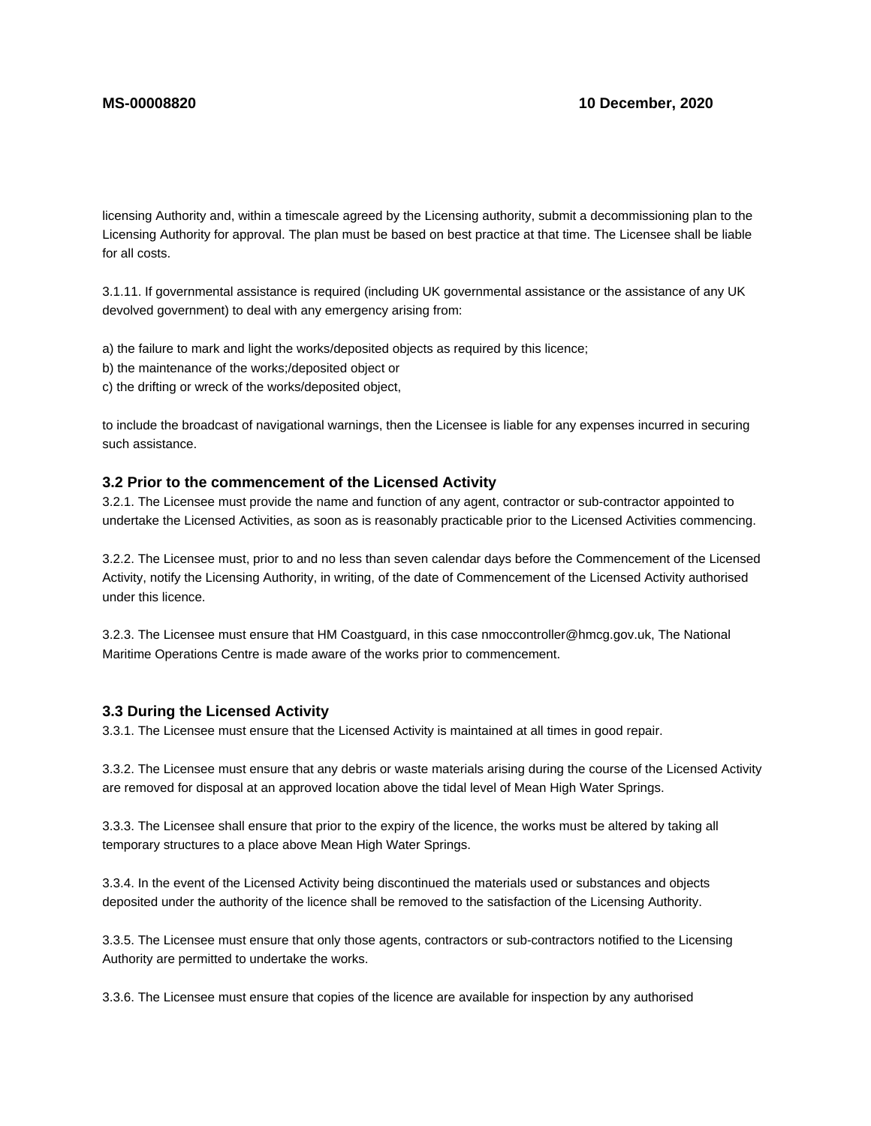licensing Authority and, within a timescale agreed by the Licensing authority, submit a decommissioning plan to the Licensing Authority for approval. The plan must be based on best practice at that time. The Licensee shall be liable for all costs.

3.1.11. If governmental assistance is required (including UK governmental assistance or the assistance of any UK devolved government) to deal with any emergency arising from:

a) the failure to mark and light the works/deposited objects as required by this licence;

- b) the maintenance of the works;/deposited object or
- c) the drifting or wreck of the works/deposited object,

to include the broadcast of navigational warnings, then the Licensee is liable for any expenses incurred in securing such assistance.

#### **3.2 Prior to the commencement of the Licensed Activity**

3.2.1. The Licensee must provide the name and function of any agent, contractor or sub-contractor appointed to undertake the Licensed Activities, as soon as is reasonably practicable prior to the Licensed Activities commencing.

3.2.2. The Licensee must, prior to and no less than seven calendar days before the Commencement of the Licensed Activity, notify the Licensing Authority, in writing, of the date of Commencement of the Licensed Activity authorised under this licence.

3.2.3. The Licensee must ensure that HM Coastguard, in this case nmoccontroller@hmcg.gov.uk, The National Maritime Operations Centre is made aware of the works prior to commencement.

## **3.3 During the Licensed Activity**

3.3.1. The Licensee must ensure that the Licensed Activity is maintained at all times in good repair.

3.3.2. The Licensee must ensure that any debris or waste materials arising during the course of the Licensed Activity are removed for disposal at an approved location above the tidal level of Mean High Water Springs.

3.3.3. The Licensee shall ensure that prior to the expiry of the licence, the works must be altered by taking all temporary structures to a place above Mean High Water Springs.

3.3.4. In the event of the Licensed Activity being discontinued the materials used or substances and objects deposited under the authority of the licence shall be removed to the satisfaction of the Licensing Authority.

3.3.5. The Licensee must ensure that only those agents, contractors or sub-contractors notified to the Licensing Authority are permitted to undertake the works.

3.3.6. The Licensee must ensure that copies of the licence are available for inspection by any authorised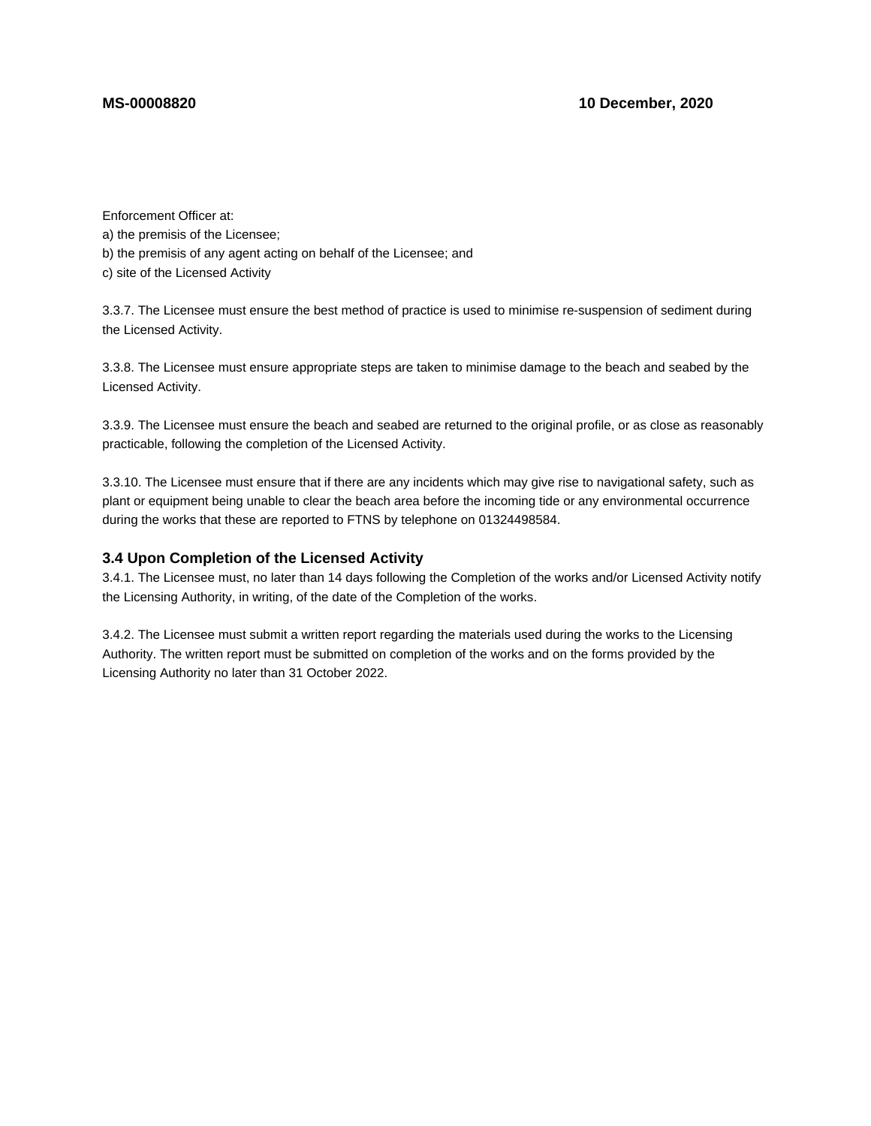Enforcement Officer at:

a) the premisis of the Licensee;

b) the premisis of any agent acting on behalf of the Licensee; and

c) site of the Licensed Activity

3.3.7. The Licensee must ensure the best method of practice is used to minimise re-suspension of sediment during the Licensed Activity.

3.3.8. The Licensee must ensure appropriate steps are taken to minimise damage to the beach and seabed by the Licensed Activity.

3.3.9. The Licensee must ensure the beach and seabed are returned to the original profile, or as close as reasonably practicable, following the completion of the Licensed Activity.

3.3.10. The Licensee must ensure that if there are any incidents which may give rise to navigational safety, such as plant or equipment being unable to clear the beach area before the incoming tide or any environmental occurrence during the works that these are reported to FTNS by telephone on 01324498584.

## **3.4 Upon Completion of the Licensed Activity**

3.4.1. The Licensee must, no later than 14 days following the Completion of the works and/or Licensed Activity notify the Licensing Authority, in writing, of the date of the Completion of the works.

3.4.2. The Licensee must submit a written report regarding the materials used during the works to the Licensing Authority. The written report must be submitted on completion of the works and on the forms provided by the Licensing Authority no later than 31 October 2022.